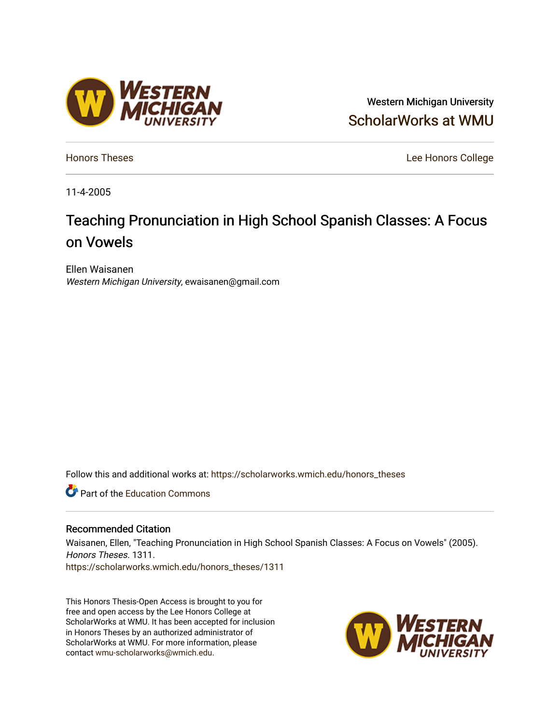## Western Michigan University [ScholarWorks at WMU](https://scholarworks.wmich.edu/)

**[Honors Theses](https://scholarworks.wmich.edu/honors_theses)** Lee Honors College

11-4-2005

# Teaching Pronunciation in High School Spanish Classes: A Focus on Vowels

Ellen Waisanen Western Michigan University, ewaisanen@gmail.com

Follow this and additional works at: [https://scholarworks.wmich.edu/honors\\_theses](https://scholarworks.wmich.edu/honors_theses?utm_source=scholarworks.wmich.edu%2Fhonors_theses%2F1311&utm_medium=PDF&utm_campaign=PDFCoverPages)

**C** Part of the [Education Commons](http://network.bepress.com/hgg/discipline/784?utm_source=scholarworks.wmich.edu%2Fhonors_theses%2F1311&utm_medium=PDF&utm_campaign=PDFCoverPages)

#### Recommended Citation

Waisanen, Ellen, "Teaching Pronunciation in High School Spanish Classes: A Focus on Vowels" (2005). Honors Theses. 1311. [https://scholarworks.wmich.edu/honors\\_theses/1311](https://scholarworks.wmich.edu/honors_theses/1311?utm_source=scholarworks.wmich.edu%2Fhonors_theses%2F1311&utm_medium=PDF&utm_campaign=PDFCoverPages) 

This Honors Thesis-Open Access is brought to you for free and open access by the Lee Honors College at ScholarWorks at WMU. It has been accepted for inclusion in Honors Theses by an authorized administrator of ScholarWorks at WMU. For more information, please contact [wmu-scholarworks@wmich.edu](mailto:wmu-scholarworks@wmich.edu).



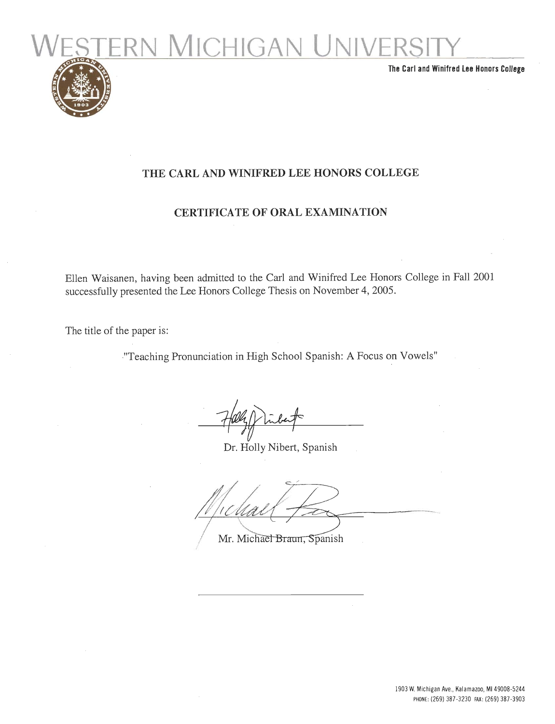

*The Carl andWinifred Lee Honors College*

### *THE CARL AND WINIFRED LEE HONORS COLLEGE*

### *CERTIFICATE OF ORAL EXAMINATION*

Ellen Waisanen, having been admitted to the Carl and Winifred Lee Honors College in Fall 2001 successfully presented the Lee Honors College Thesis on November 4, 2005.

The title of the paper is:

"Teaching Pronunciation in High School Spanish: A Focus on Vowels"

Dr. Holly Nibert, Spanish

Mr. Michael Braun, Spanish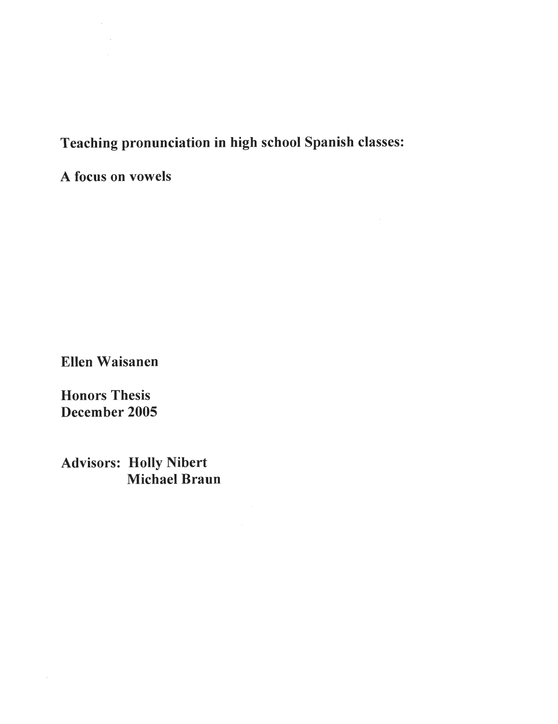# *Teaching pronunciation in high school Spanish classes:*

*A focus on vowels*

 $\bar{z}$ 

*Ellen Waisanen*

*Honors Thesis December 2005*

 $\bar{z}$ 

*Advisors: Holly Nibert Michael Braun*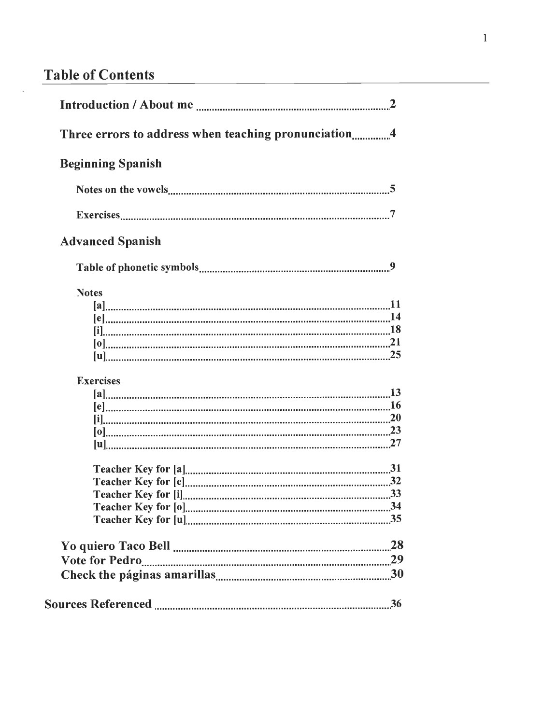# **Table** of Contents

J.

| Three errors to address when teaching pronunciation4 |  |
|------------------------------------------------------|--|
| <b>Beginning Spanish</b>                             |  |
|                                                      |  |
|                                                      |  |
| <b>Advanced Spanish</b>                              |  |
|                                                      |  |
| <b>Notes</b>                                         |  |
|                                                      |  |
|                                                      |  |
|                                                      |  |
|                                                      |  |
| <b>Exercises</b>                                     |  |
|                                                      |  |
|                                                      |  |
|                                                      |  |
|                                                      |  |
|                                                      |  |
|                                                      |  |
|                                                      |  |
|                                                      |  |
|                                                      |  |
|                                                      |  |
|                                                      |  |
|                                                      |  |
|                                                      |  |
|                                                      |  |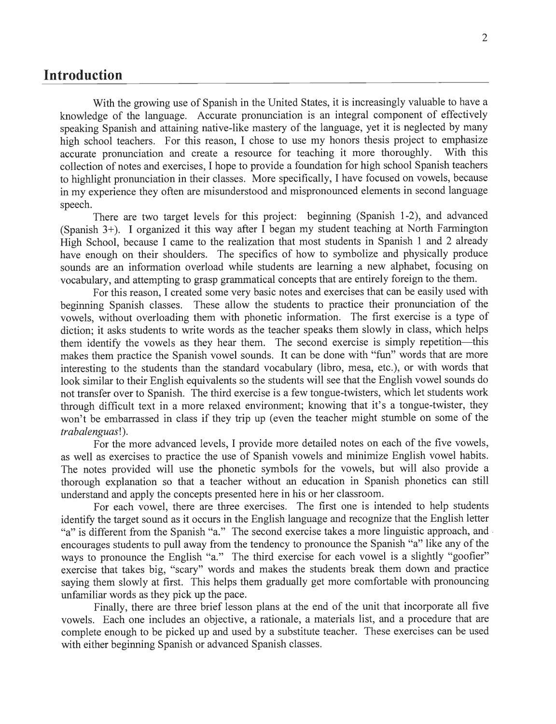### *Introduction*

With the growing use of Spanish in the United States, it is increasingly valuable to have a knowledge of the language. Accurate pronunciation is an integral component of effectively speaking Spanish and attaining native-like mastery of the language, yet it is neglected by many high school teachers. For this reason, I chose to use my honors thesis project to emphasize accurate pronunciation and create a resource for teaching it more thoroughly. With this accurate pronunciation and create a resource for teaching it more thoroughly. collection of notes and exercises, I hope to provide a foundation for high school Spanish teachers to highlight pronunciation in their classes. More specifically, I have focused on vowels, because in my experience they often are misunderstood and mispronounced elements in second language speech.

There are two target levels for this project: beginning (Spanish 1-2), and advanced (Spanish 3+). I organized it this way after I began my student teaching at North Farmington High School, because I came to the realization that most students in Spanish 1 and 2 already have enough on their shoulders. The specifics of how to symbolize and physically produce sounds are an information overload while students are learning a new alphabet, focusing on vocabulary, and attempting to grasp grammatical concepts that are entirely foreign to the them.

For this reason, I created some very basic notes and exercises that can be easily used with beginning Spanish classes. These allow the students to practice their pronunciation of the vowels, without overloading them with phonetic information. The first exercise is a type of diction; it asks students to write words as the teacher speaks them slowly in class, which helps them identify the vowels as they hear them. The second exercise is simply repetition—this makes them practice the Spanish vowel sounds. It can be done with "fun" words that are more interesting to the students than the standard vocabulary (libro, mesa, etc.), or with words that look similar to their English equivalents so the students will see that the English vowel sounds do not transfer over to Spanish. The third exercise is a few tongue-twisters, which let students work through difficult text in a more relaxed environment; knowing that it's a tongue-twister, they won't be embarrassed in class if they trip up (even the teacher might stumble on some of the **trabalenguas\).**

For the more advanced levels, I provide more detailed notes on each of the five vowels, as well as exercises to practice the use of Spanish vowels and minimize English vowel habits. The notes provided will use the phonetic symbols for the vowels, but will also provide a thorough explanation so that a teacher without an education in Spanish phonetics can still understand and apply the concepts presented here in his or her classroom.

For each vowel, there are three exercises. The first one is intended to help students identify the target sound as it occurs in the English language and recognize that the English letter "a" is different from the Spanish "a." The second exercise takes a more linguistic approach, and encourages students to pull away from the tendency to pronounce the Spanish "a" like any of the ways to pronounce the English "a." The third exercise for each vowel is a slightly "goofier" exercise that takes big, "scary" words and makes the students break them down and practice saying them slowly at first. This helps them gradually get more comfortable with pronouncing unfamiliar words as they pick up the pace.

Finally, there are three brief lesson plans at the end of the unit that incorporate all five vowels. Each one includes an objective, a rationale, a materials list, and a procedure that are complete enough to be picked up and used by a substitute teacher. These exercises can be used with either beginning Spanish or advanced Spanish classes.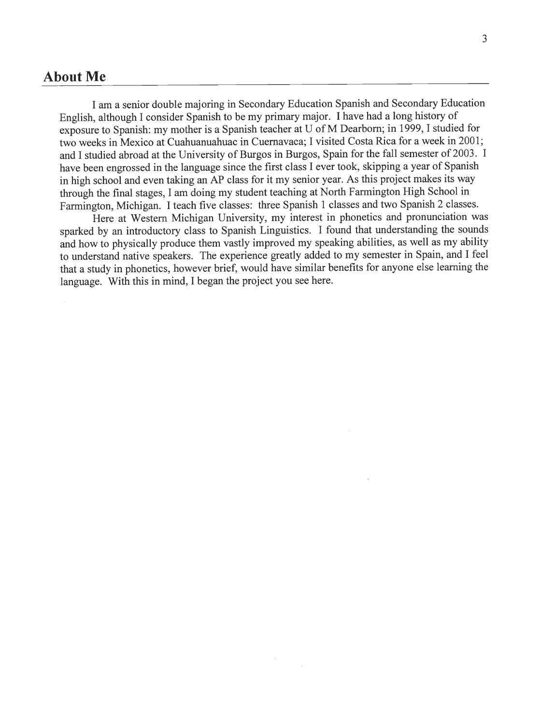### *About Me*

I am a senior double majoring in Secondary Education Spanish and Secondary Education English, although I consider Spanish to bemy primary major. I have had a long history of exposure to Spanish: my mother is a Spanish teacher at U of M Dearborn; in 1999, I studied for two weeks in Mexico at Cuahuanuahuac in Cuernavaca; I visited Costa Rica for a week in 2001; and I studied abroad at the University of Burgos in Burgos, Spain for the fall semester of 2003. I have been engrossed in the language since the first class I ever took, skipping a year of Spanish in high school and even taking an AP class for it my senior year. As this project makes its way through the final stages, I am doing my student teaching at North Farmington High School in Farmington, Michigan. I teach five classes: three Spanish 1 classes and two Spanish 2 classes.

Here at Western Michigan University, my interest in phonetics and pronunciation was sparked by an introductory class to Spanish Linguistics. I found that understanding the sounds and how to physically produce them vastly improved my speaking abilities, as well as my ability to understand native speakers. The experience greatly added to my semester in Spain, and I feel that a study in phonetics, however brief, would have similar benefits for anyone else learning the language. With this in mind, I began the project you see here.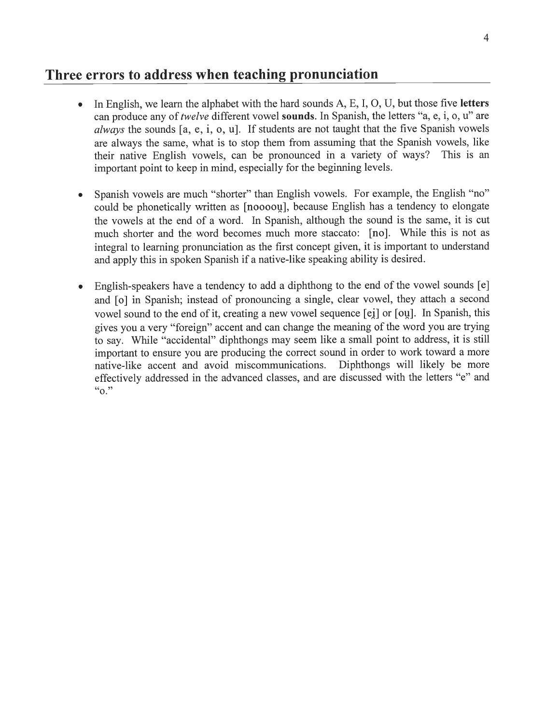### *Three errors to address when teaching pronunciation*

- In English, we learn the alphabet with the hard sounds A, E, I, O, U, but those five **letters** can produce any of *twelve* different vowel **sounds**. In Spanish, the letters "a, e, i, o, u" are **always** the sounds [a, e, i, o, u]. If students are not taught that the five Spanish vowels are always the same, what is to stop them from assuming that the Spanish vowels, like their native English vowels, can be pronounced in a variety of ways? This is an important point to keep in mind, especially for the beginning levels.
- Spanish vowels are much "shorter" than English vowels. For example, the English "no" could be phonetically written as [noooou], because English has a tendency to elongate the vowels at the end of a word. In Spanish, although the sound is the same, it is cut much shorter and the word becomes much more staccato: [no]. While this is not as integral to learning pronunciation as the first concept given, it is important to understand and apply this in spoken Spanish if a native-like speaking ability is desired.
- English-speakers have a tendency to add a diphthong to the end of the vowel sounds [e] and [o] in Spanish; instead of pronouncing a single, clear vowel, they attach a second vowel sound to the end of it, creating a new vowel sequence [ei] or [ou]. In Spanish, this gives you a very "foreign" accent and can change the meaning of the word you are trying to say. While "accidental" diphthongs may seem like a small point to address, it is still important to ensure you are producing the correct sound in order to work toward a more native-like accent and avoid miscommunications. Diphthongs will likely be more effectively addressed in the advanced classes, and are discussed with the letters "e" and $``o."$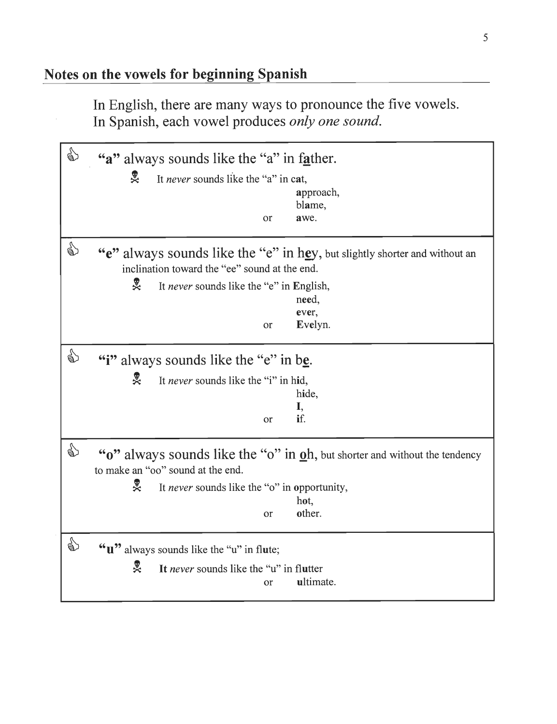In English, there are many ways to pronounce the five vowels. In Spanish, each vowel produces **only one sound.**

| ☝ | "a" always sounds like the "a" in father.                                                                                                                                                                              |
|---|------------------------------------------------------------------------------------------------------------------------------------------------------------------------------------------------------------------------|
|   | 畟<br>It never sounds like the "a" in cat,<br>approach,<br>blame,<br>awe.<br><sub>or</sub>                                                                                                                              |
| € | "e" always sounds like the "e" in hey, but slightly shorter and without an<br>inclination toward the "ee" sound at the end.<br>旻<br>It never sounds like the "e" in English,<br>need,<br>ever,<br>Evelyn.<br><b>or</b> |
| € | "i" always sounds like the "e" in be.<br>ஜ<br>It never sounds like the "i" in hid,<br>hide,<br>I,<br>if.<br><sub>or</sub>                                                                                              |
| € | "o" always sounds like the "o" in oh, but shorter and without the tendency<br>to make an "oo" sound at the end.<br>ஜ<br>It never sounds like the "o" in opportunity,<br>hot,<br>other.<br>or                           |
| € | " <b>u</b> " always sounds like the "u" in flute;<br>旻<br>It never sounds like the "u" in flutter<br>ultimate.<br>or                                                                                                   |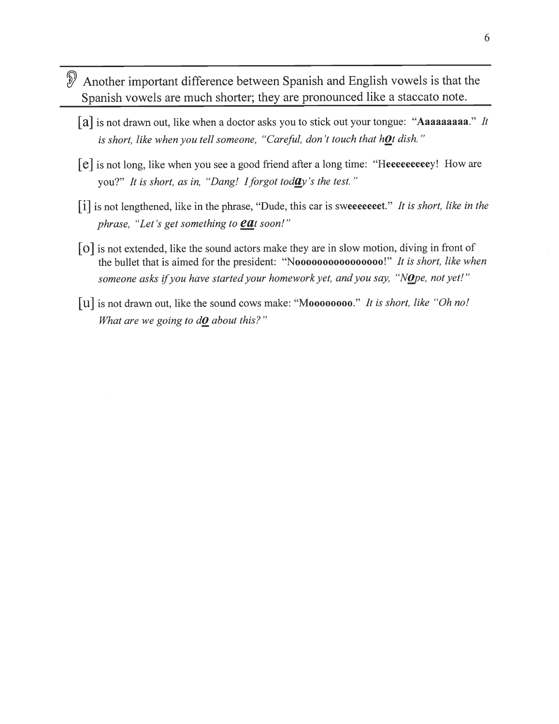- Another important difference between Spanish and English vowels is that the Spanish vowels are much shorter; they are pronounced like a staccato note.
	- [a] is not drawn out, like when a doctor asks you to stick out your tongue: "Aaaaaaaaaa." It **is short, like when you tell someone, "Careful, don't touch that h0t dish."**
	- [e] isnot long, like when you see a good friend after a long time: "Heeeeeeeeey! How are you?" 7/**is short, as in, "Dang! Iforgot todtty 'sthe test. "**
	- [i] isnot lengthened, like inthe phrase, "Dude, this car issweeeeeeet." **It isshort, like in the phrase, "Let's get something to** *CClt* **soon!"**
	- [o] is not extended, like the sound actors make they are in slow motion, diving in front of the bullet that is aimed for the president: "Noooooooooooooooo!" **It is short, like when someone** asks if you have started your homework yet, and you say, "Nope, not yet!"
	- [u] isnot drawn out, like the sound cows make: "Moooooooo." // **isshort, like "Oh no! What are we going to dO about this? "**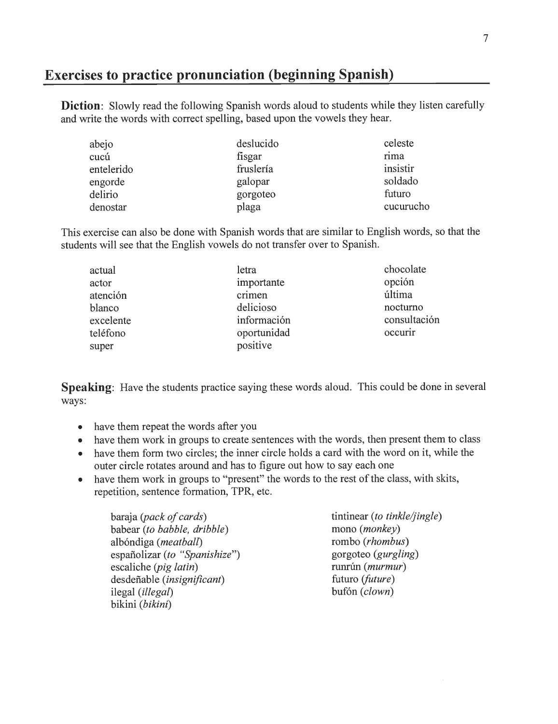### *Exercises to practice pronunciation (beginning Spanish)*

**Diction**: Slowly read the following Spanish words aloud to students while they listen carefully and write the words with correct spelling, based upon the vowels they hear.

| abejo      | deslucido | celeste   |
|------------|-----------|-----------|
| cucú       | fisgar    | rima      |
| entelerido | fruslería | insistir  |
| engorde    | galopar   | soldado   |
| delirio    | gorgoteo  | futuro    |
| denostar   | plaga     | cucurucho |

This exercise can also be done with Spanish words that are similar to English words, so that the students will see that the English vowels do not transfer over to Spanish.

| actual    | letra       | chocolate    |
|-----------|-------------|--------------|
| actor     | importante  | opción       |
| atención  | crimen      | última       |
| blanco    | delicioso   | nocturno     |
| excelente | información | consultación |
| teléfono  | oportunidad | occurir      |
| super     | positive    |              |

*Speaking:* Have the students practice saying these words aloud. This could be done in several ways:

- have them repeat the words after you
- have them work in groups to create sentences with the words, then present them to class
- have them form two circles; the inner circle holds a card with the word on it, while the outer circle rotates around and has to figure out how to say each one
- have them work in groups to "present" the words to the rest of the class, with skits, repetition, sentence formation, TPR, etc.

baraja (*pack of cards*) tintinear (*to tinkle/jingle*)<br>
babear (*to babble, dribble*) mono (*monkey*)  $b$ abear (to *babble*, *dribble*) albondiga **(meatball)** rombo **(rhombus)** españolizar (to "Spanishize") gorgoteo (gurgling) escaliche (*pig latin*) runrún (*murmur*) desdeñable (*insignificant*) futuro (*future*) ilegal *(illegal)* bufon *(clown)* bikini **(bikini)**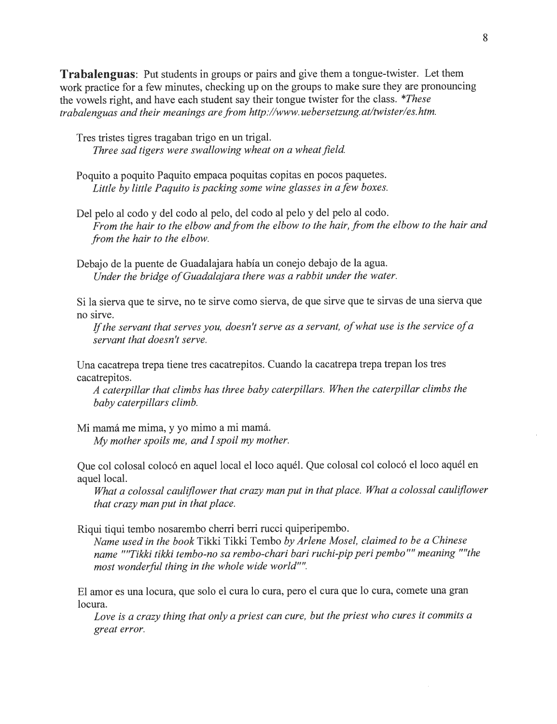**Trabalenguas**: Put students in groups or pairs and give them a tongue-twister. Let them work practice for a few minutes, checking up on the groups to make sure they are pronouncing the vowels right, and have each student say their tongue twister for the class. **\*These trabalenguas andtheir meanings arefrom http://www.uebersetzung.at/twister/es.htm.**

Tres tristes tigres tragaban trigo en un trigal. Three sad tigers were swallowing wheat on a wheat field.

- Poquito a poquito Paquito empaca poquitas copitas en pocos paquetes. **Little bylittle Paquito ispackingsomewine glasses in afew boxes.**
- Del pelo al codo y del codo al pelo, del codo al pelo y del pelo al codo. **From the hair to the elbow andfrom the elbow to the hair, from the elbow to the hairand from the hair to the elbow.**

Debajo de la puente de Guadalajara habia un conejo debajo de la agua. **Under the bridge ofGuadalajara there was a rabbit under the water.**

Si la sierva que te sirve, no te sirve como sierva, de que sirve que te sirvas de una sierva que no sirve.

**Ifthe servant that serves you, doesn't serve as a servant, ofwhat use isthe service ofa servant that doesn't serve.**

Una cacatrepa trepa tiene tres cacatrepitos. Cuando la cacatrepa trepatrepan los tres cacatrepitos.

**A caterpillar that climbs hasthree baby caterpillars. When the caterpillar climbs the baby caterpillars climb.**

Mi mamá me mima, y yo mimo a mi mamá. **Mymother spoils me, and I spoil mymother.**

Que col colosal colocó en aquel local el loco aquél. Que colosal col colocó el loco aquél en aquel local.

**What a colossal cauliflower that crazy man put in thatplace. What a colossal cauliflower** that crazy man put in that place.

Riqui tiqui tembo nosarembo cherri berri rucci quiperipembo.

**Name used in the book**Tikki Tikki Tembo **byArlene Mosel, claimed to be a Chinese name ""Tikki tikki tembo-no sa rembo-chari bari ruchi-pipperipembo"" meaning ""the mostwonderful thing in the whole wide world"".**

El amor es una locura, que solo el cura lo cura, pero el cura que lo cura, comete una gran locura.

Love is a crazy thing that only a priest can cure, but the priest who cures it commits a **great error.**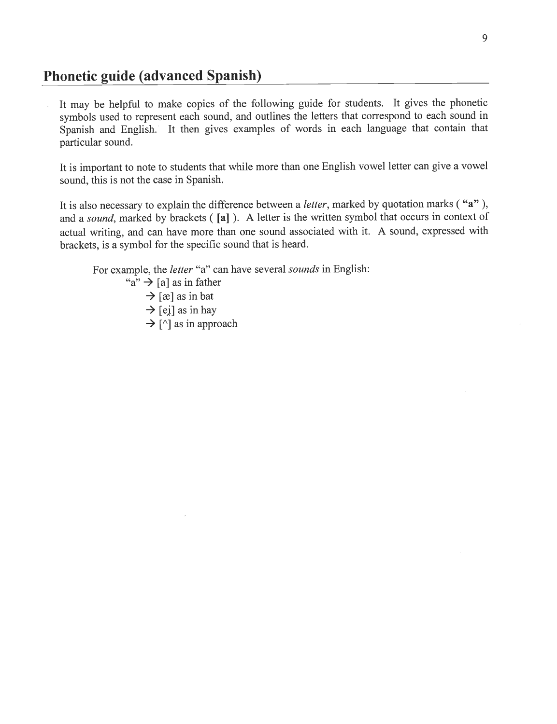### *Phonetic guide (advanced Spanish)*

It may be helpful to make copies of the following guide for students. It gives the phonetic symbols used to represent each sound, and outlines the letters that correspond to each sound in Spanish and English. It then gives examples of words in each language that contain that particular sound.

It is important to note to students that while more than one English vowel letter can give a vowel sound, this is not the case in Spanish.

It is also necessary to explain the difference between a **letter,** marked by quotation marks ( "a" ), and a **sound,** marked by brackets ( *[a]* ). A letter is the written symbol that occurs in context of actual writing, and can have more than one sound associated with it. A sound, expressed with brackets, is a symbol for the specific sound that is heard.

For example, the **letter** "a" can have several**sounds** in English:

"a"  $\rightarrow$  [a] as in father  $\rightarrow$  [æ] as in bat  $\rightarrow$  [ei] as in hay

 $\rightarrow$  [^] as in approach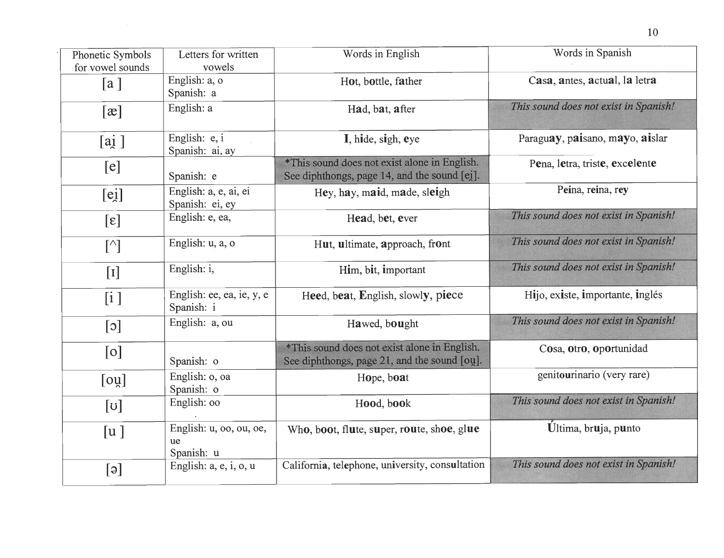| Phonetic Symbols<br>for vowel sounds                                                                                                                                                                                                                         | Letters for written<br>vowels               | Words in English                                                                             | Words in Spanish                      |
|--------------------------------------------------------------------------------------------------------------------------------------------------------------------------------------------------------------------------------------------------------------|---------------------------------------------|----------------------------------------------------------------------------------------------|---------------------------------------|
| [a]                                                                                                                                                                                                                                                          | English: a, o<br>Spanish: a                 | Hot, bottle, father                                                                          | Casa, antes, actual, la letra         |
| [x]                                                                                                                                                                                                                                                          | English: a                                  | Had, bat, after                                                                              | This sound does not exist in Spanish! |
| [ai]                                                                                                                                                                                                                                                         | English: e, i<br>Spanish: ai, ay            | I, hide, sigh, eye                                                                           | Paraguay, paisano, mayo, aislar       |
| [e]                                                                                                                                                                                                                                                          | Spanish: e                                  | *This sound does not exist alone in English.<br>See diphthongs, page 14, and the sound [ei]. | Pena, letra, triste, excelente        |
| $[e_1]$                                                                                                                                                                                                                                                      | English: a, e, ai, ei<br>Spanish: ei, ey    | Hey, hay, maid, made, sleigh                                                                 | Peina, reina, rey                     |
| $[\epsilon]$                                                                                                                                                                                                                                                 | English: e, ea,                             | Head, bet, ever                                                                              | This sound does not exist in Spanish! |
| $[\wedge] % \centering \includegraphics[width=0.9\columnwidth]{figures/2a} \caption{The graph $\mathcal{M}_1$ is a function of the number of times, and the number of times, and the number of times, and the number of times, respectively.} \label{fig:1}$ | English: u, a, o                            | Hut, ultimate, approach, front                                                               | This sound does not exist in Spanish! |
| $[1]$                                                                                                                                                                                                                                                        | English: i,                                 | Him, bit, important                                                                          | This sound does not exist in Spanish! |
| [i]                                                                                                                                                                                                                                                          | English: ee, ea, ie, y, e<br>Spanish: i     | Heed, beat, English, slowly, piece                                                           | Hijo, existe, importante, inglés      |
| $[\circ]$                                                                                                                                                                                                                                                    | English: a, ou                              | Hawed, bought                                                                                | This sound does not exist in Spanish! |
| [0]                                                                                                                                                                                                                                                          | Spanish: o                                  | *This sound does not exist alone in English.<br>See diphthongs, page 21, and the sound [ou]. | Cosa, otro, oportunidad               |
| [oy]                                                                                                                                                                                                                                                         | English: o, oa<br>Spanish: o                | Hope, boat                                                                                   | genitourinario (very rare)            |
| $[\mathsf{U}]$                                                                                                                                                                                                                                               | English: 00                                 | Hood, book                                                                                   | This sound does not exist in Spanish! |
| [u]                                                                                                                                                                                                                                                          | English: u, oo, ou, oe,<br>ue<br>Spanish: u | Who, boot, flute, super, route, shoe, glue                                                   | Ultima, bruja, punto                  |
| $[\circ]$                                                                                                                                                                                                                                                    | English: a, e, i, o, u                      | California, telephone, university, consultation                                              | This sound does not exist in Spanish! |

10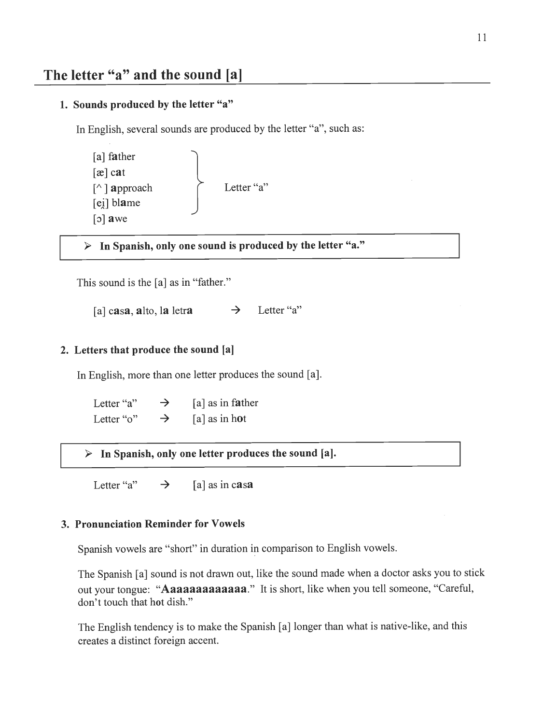### *1. Sounds produced by the letter "a"*

In English, several sounds are produced by the letter "a", such as:

[a] father [ae] cat [A ] approach [ei] blame [o] awe Letter "a'

> *In Spanish, only one sound is produced by the letter "a.'*

This sound is the [a] as in "father."

[a] casa, alto, la letra  $\rightarrow$  Letter "a"

### *2. Letters that produce the sound [a]*

In English, more than one letter produces the sound [a].

Letter "a"  $\rightarrow$  [a] as in father Letter "o"  $\rightarrow$  [a] as in hot

> *In Spanish, only one letter produces the sound [a].*

Letter "a"  $\rightarrow$  [a] as in casa

### *3. Pronunciation Reminder for Vowels*

Spanish vowels are "short" in duration in comparison to English vowels.

The Spanish [a] sound is not drawn out, like the sound made when a doctor asks you to stick out your tongue: "**Aaaaaaaaaaaaaa**." It is short, like when you tell someone, "Careful, don't touch that hot dish."

The English tendency is to make the Spanish [a] longer than what is native-like, and this creates a distinct foreign accent.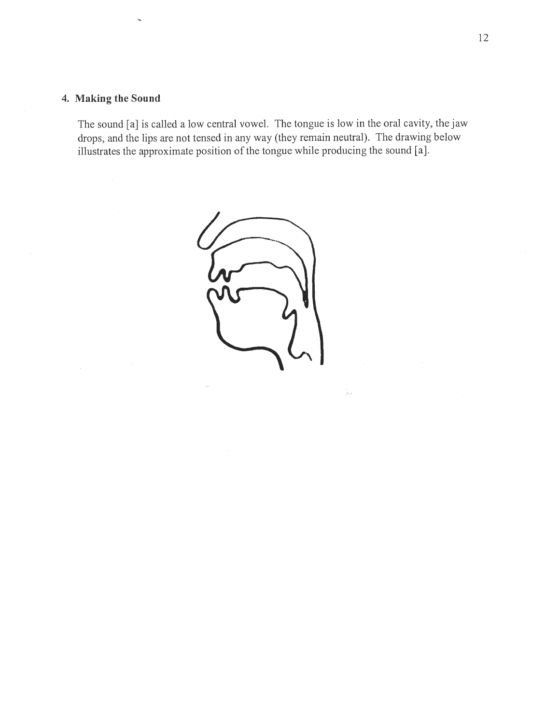### *4. Making the Sound*

The sound [a] is called a low central vowel. The tongue is low in the oral cavity, the jaw drops, and the lips are not tensed in any way (they remain neutral). The drawing below illustrates the approximate position of the tongue while producing the sound [a].



 $\frac{1}{\rho_{\rm{eff}}}$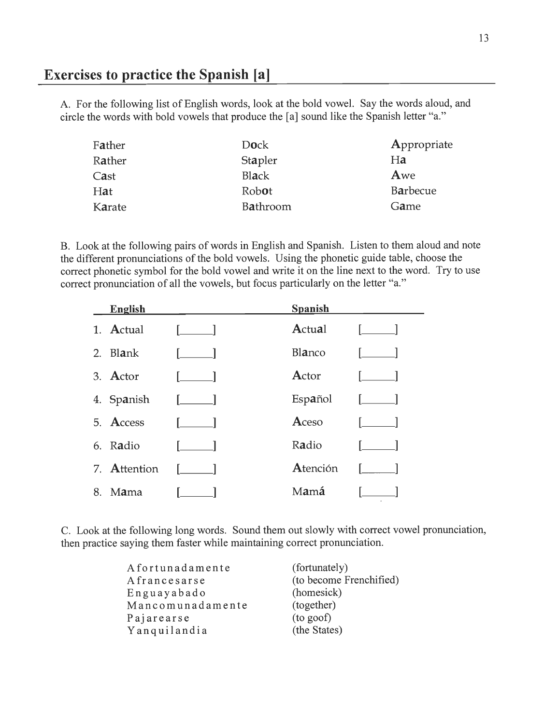### *Exercises to practice the Spanish [a]*

A. For the following list of English words, look at the bold vowel. Say the words aloud, and circle the words with bold vowels that produce the [a] sound like the Spanish letter "a."

| Father | <b>Dock</b>     | Appropriate |
|--------|-----------------|-------------|
| Rather | Stapler         | Ha          |
| Cast   | Black           | Awe         |
| Hat    | Robot           | Barbecue    |
| Karate | <b>Bathroom</b> | Game        |
|        |                 |             |

B. Look at the following pairs of words in English and Spanish. Listen to them aloud and note the different pronunciations of the bold vowels. Using the phonetic guide table, choose the correct phonetic symbol for the bold vowel and write it on the line next to the word. Try to use correct pronunciation of all the vowels, but focus particularly on the letter "a."

|    | <b>English</b> |                                  | <b>Spanish</b> |      |
|----|----------------|----------------------------------|----------------|------|
|    | 1. Actual      |                                  | Actual         |      |
| 2. | Blank          |                                  | Blanco         |      |
|    | 3. Actor       | $\begin{array}{ccc} \end{array}$ | Actor          |      |
|    | 4. Spanish     |                                  | Español        | 1. 1 |
|    | 5. Access      |                                  | Aceso          |      |
|    | 6. Radio       |                                  | Radio          |      |
|    | 7. Attention   |                                  | Atención       |      |
| 8. | Mama           |                                  | Mamá           |      |

C. Look at the following long words. Sound them out slowly with correct vowel pronunciation, then practice saying them faster while maintaining correct pronunciation.

| Afortunadamente  | (fortunately)           |
|------------------|-------------------------|
| Afrancesarse     | (to become Frenchified) |
| Enguayabado      | (homesick)              |
| Mancomunadamente | (together)              |
| Pajarearse       | (to goof)               |
| Yanquilandia     | (the States)            |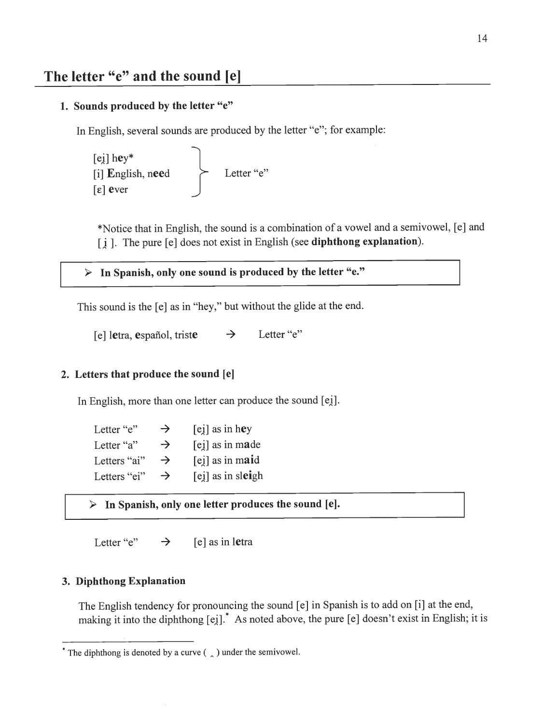### *1. Sounds produced by the letter "e"*

In English, several sounds are produced by the letter "e"; for example:

[ej] hey\* [i] English, need  $\lceil \varepsilon \rceil$  ever **>-** Letter "e"

♦Notice that in English, the sound is a combination of a vowel and a semivowel, [e] and [j ]. The pure [e] does notexistin English (see *diphthong explanation).*

*> In Spanish, only one sound is produced by the letter "e."*

This sound is the [e] as in "hey," but without the glide at the end.

[e] letra, español, triste  $\rightarrow$  Letter "e"

#### *2. Letters that produce the sound [e]*

In English, more than one letter can produce the sound [ei].

| Letter "e"   | $\rightarrow$ | $[ei]$ as in hey    |
|--------------|---------------|---------------------|
| Letter "a"   | $\rightarrow$ | [ei] as in made     |
| Letters "ai" | $\rightarrow$ | $[e_i]$ as in maid  |
| Letters "ei" | $\rightarrow$ | $[ej]$ as in sleigh |

> *In Spanish, only one letter produces the sound [e].*

Letter "e"  $\rightarrow$  [e] as in letra

### *3. Diphthong Explanation*

The English tendency for pronouncing the sound [e] in Spanish is to addon [i] at the end, making it into the diphthong [ei].<sup>\*</sup> As noted above, the pure [e] doesn't exist in English; it is

<sup>&</sup>lt;sup>\*</sup> The diphthong is denoted by a curve (  $\alpha$  ) under the semivowel.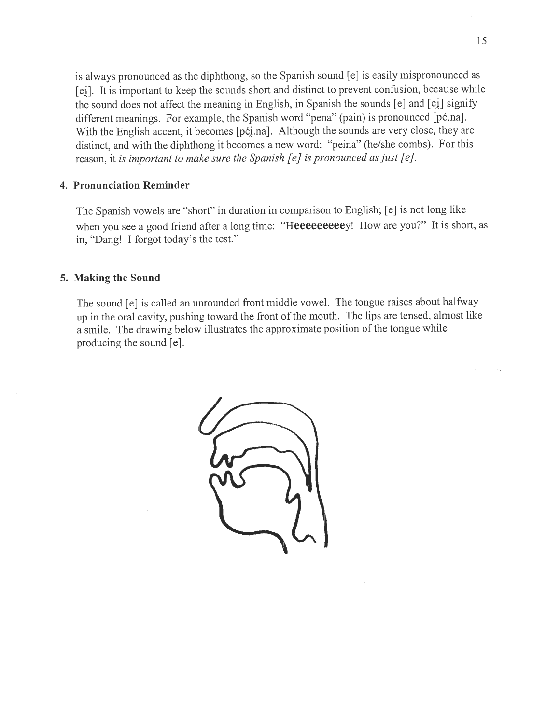is always pronounced as the diphthong, so the Spanish sound [e] is easily mispronounced as [ei]. It is important to keep the sounds short and distinct to prevent confusion, because while the sound does not affect the meaning in English, in Spanish the sounds [e] and [ei] signify different meanings. For example, the Spanish word "pena" (pain) is pronounced [pé.na]. With the English accent, it becomes [péi.na]. Although the sounds are very close, they are distinct, and with the diphthong it becomes a new word: "peina" (he/she combs). For this reason, it **is important to make sure the Spanish [e] ispronounced asjust [ej.**

### *4. Pronunciation Reminder*

The Spanish vowels are "short" in duration in comparison to English; [e] is not long like when you see a good friend after a long time: "Heeeeeeeeey! How are you?" It is short, as in, "Dang! I forgot today's the test."

### *5. Making the Sound*

The sound [e] is called an unrounded front middle vowel. The tongue raises about halfway up in the oral cavity, pushing toward the front of the mouth. The lips are tensed, almost like a smile. The drawing below illustrates the approximate position of the tongue while producing the sound [e].

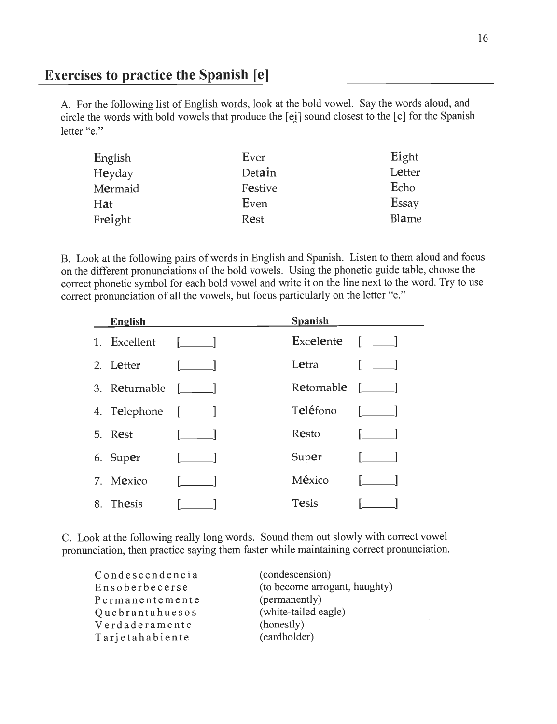# *Exercises to practice the Spanish [e]*

A. For the following list of English words, look at the bold vowel. Say the words aloud, and circle the words with bold vowels that produce the [ej] sound closest to the [e] for the Spanish letter "e."

| Ever    | Eight  |
|---------|--------|
| Detain  | Letter |
| Festive | Echo   |
| Even    | Essay  |
| Rest    | Blame  |
|         |        |

B. Look at the following pairs of words in English and Spanish. Listen to them aloud and focus on the different pronunciations of the bold vowels. Using the phonetic guide table, choose the correct phonetic symbol for each bold vowel and write it on the line next to the word. Try to use correct pronunciation of all the vowels, but focus particularly on the letter "e."

| English               |               | <b>Spanish</b>                                               |              |
|-----------------------|---------------|--------------------------------------------------------------|--------------|
| 1. Excellent [ ]      |               | $\mathbf{Ex}$ celente $\begin{bmatrix} 1 \\ 1 \end{bmatrix}$ |              |
| 2. Letter             |               | Letra                                                        |              |
| 3. Returnable [ ]     |               | Retornable $[\_$                                             |              |
| 4. Telephone $[\_\_]$ |               | Teléfono                                                     |              |
| 5. Rest               | $\Box$ $\Box$ | Resto                                                        | $\mathbf{1}$ |
| 6. Super              |               | Super                                                        | $\Box$       |
| 7. Mexico             | $\sqrt{2}$    | México                                                       |              |
| 8. Thesis             |               | Tesis                                                        |              |

C. Look at the following really long words. Sound them out slowly with correct vowel pronunciation, then practice saying them faster while maintaining correct pronunciation.

| Condescendencia | (condescension)               |
|-----------------|-------------------------------|
| Ensoberbecerse  | (to become arrogant, haughty) |
| Permanentemente | (permanently)                 |
| Quebrantahuesos | (white-tailed eagle)          |
| Verdaderamente  | (honestly)                    |
| Tarjetahabiente | (cardholder)                  |

 $\mathcal{L}_{\mathcal{A}}$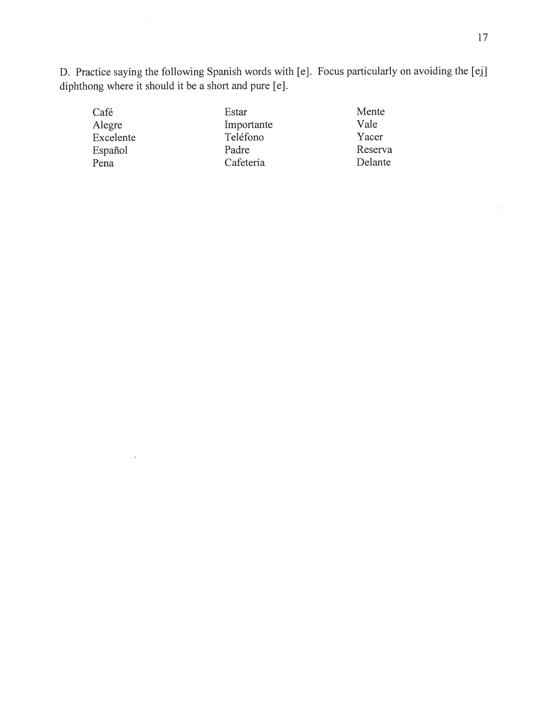D. Practice saying the following Spanish words with [e]. Focus particularly on avoiding the [ei] diphthong where it should it be a short and pure [e].

| Estar      | Mente   |
|------------|---------|
| Importante | Vale    |
| Teléfono   | Yacer   |
| Padre      | Reserva |
| Cafetería  | Delante |
|            |         |

 $\sim$   $\sim$ 

 $\hat{\mathcal{A}}$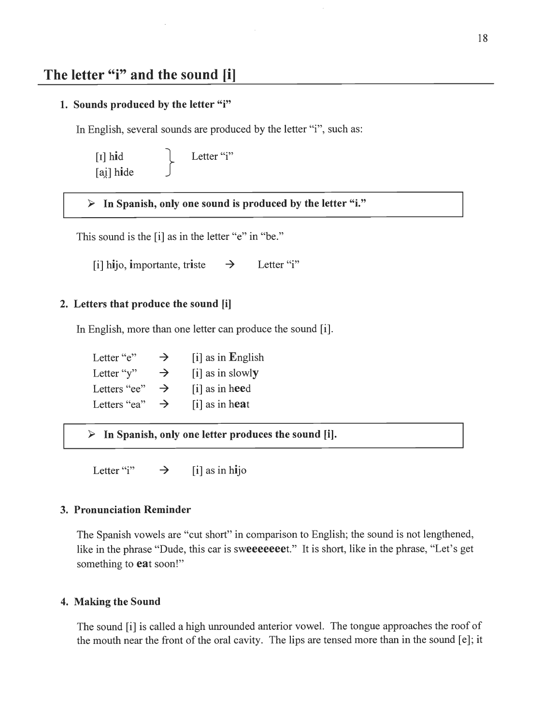# *The letter "i" and the sound [i]*

### *1. Sounds produced by the letter "i"*

In English, several sounds are produced by the letter "i", such as:

$$
\begin{array}{c}\n [I] \text{ hid} \\
 [aj] \text{ hide}\n\end{array}\n\qquad \qquad \text{Letter "i"}
$$

> *In Spanish, only one sound is produced by the letter "i."*

This sound is the [i] as in the letter "e" in "be."

[i] hijo, importante, triste  $\rightarrow$  Letter "i"

#### *2. Letters that produce the sound [i]*

In English, more than one letter can produce the sound [i].

Letter "e"  $\rightarrow$  [i] as in English Letter "y"  $\rightarrow$  [i] as in slowly Letters "ee"  $\rightarrow$  [i] as in heed Letters "ea"  $\rightarrow$  [i] as in heat

> *In Spanish, only one letter produces the sound* [i],

Letter "i"  $\rightarrow$  [i] as in hijo

#### *3. Pronunciation Reminder*

The Spanish vowels are "cut short" in comparison to English; the sound is not lengthened, like in the phrase "Dude, this car is sweeeeeeet." It is short, like in the phrase, "Let's get something to *eat* soon!"

### *4. Making the Sound*

The sound [i] is called a high unrounded anterior vowel. The tongue approaches the roof of the mouth near the front of the oral cavity. The lips are tensed more than in the sound [e]; it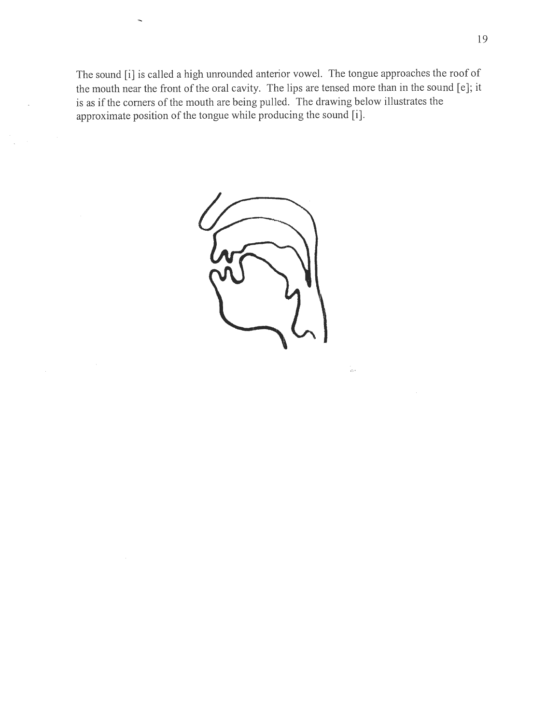The sound [i] is called a high unrounded anterior vowel. The tongue approaches the roof of the mouth near the front of the oral cavity. The lips are tensed more than in the sound [e]; it is as if the corners of the mouth are being pulled. The drawing below illustrates the approximate position of the tongue while producing the sound [i].



ĵы.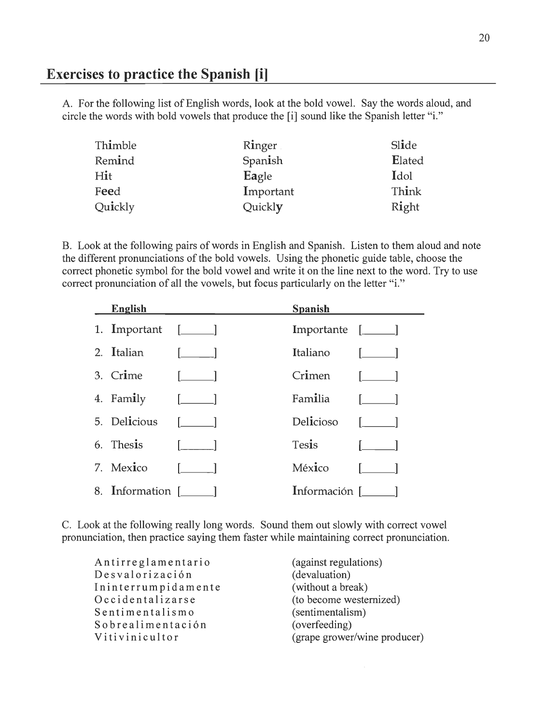### *Exercises to practice the Spanish [i]*

A. For the following list of English words, look at the bold vowel. Say the words aloud, and circle the words with bold vowels that produce the [i] sound like the Spanish letter "i."

| Thimble | Ringer    | Slide  |
|---------|-----------|--------|
| Remind  | Spanish   | Elated |
| Hit     | Eagle     | Idol   |
| Feed    | Important | Think  |
| Quickly | Quickly   | Right  |

B. Look at the following pairs of words in English and Spanish. Listen to them aloud and note the different pronunciations of the bold vowels. Using the phonetic guide table, choose the correct phonetic symbol for the bold vowel and write it on the line next to the word. Try to use correct pronunciation of all the vowels, but focus particularly on the letter "i."

| <b>English</b>        |                                                | <b>Spanish</b>             |                                       |
|-----------------------|------------------------------------------------|----------------------------|---------------------------------------|
| 1. Important $[\_\_]$ |                                                | Importante [ <i>____</i> ] |                                       |
| 2. Italian            | <b><i><u>Property</u></i></b>                  | Italiano                   | $\mathbf{L} = \mathbf{L}$             |
| 3. Crime              | $\begin{bmatrix} 1 & 1 \\ 1 & 1 \end{bmatrix}$ | Crimen                     | $\begin{bmatrix} 1 & 1 \end{bmatrix}$ |
| 4. Family             |                                                | Familia                    |                                       |
| 5. Delicious          |                                                | Delicioso                  | $\mathbf{I}$ and $\mathbf{I}$         |
| 6. Thesis             |                                                | Tesis                      |                                       |
| 7. Mexico             |                                                | México                     |                                       |
| 8. Information [ ]    |                                                | Información [ ]            |                                       |

C. Look at the following really long words. Sound them out slowly with correct vowel pronunciation, then practice saying them faster while maintaining correct pronunciation.

Antirreglamentario Desvalorizacion Ininterrumpidamente Occidentalizarse Sentimentalismo Sobrealimentacion Vitivinicultor

(against regulations) (devaluation) (without a break) (to become westernized) (sentimentalism) (overfeeding) (grape grower/wine producer)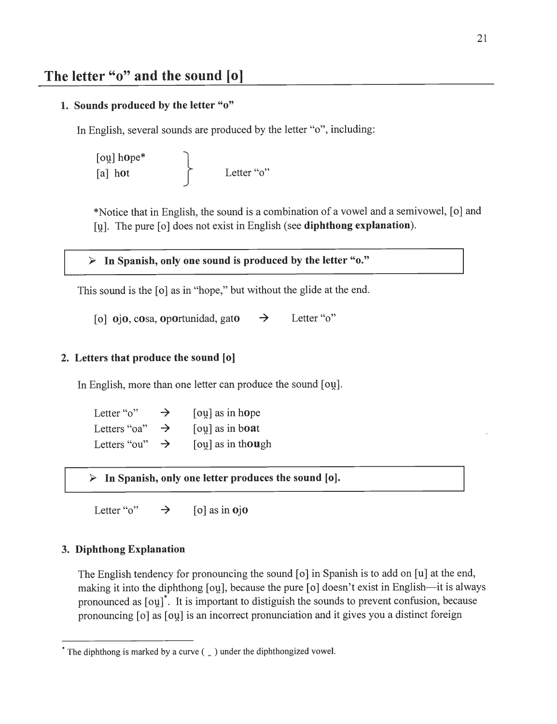### *1. Sounds produced by the letter "o"*

In English, several sounds are produced by the letter "o", including:

 $\lceil$ ou $\rceil$  hope\*  $[a]$  hot  $[a]$  Letter "o"

♦Notice that in English, the sound is a combination of a vowel and a semivowel, [o] and [u]. The pure [o] does not exist in English (see *diphthong explanation).*

*> In Spanish, only one sound is produced by the letter "o."*

This sound is the [o] as in "hope," but without the glide at the end.

[o]  $\dot{\mathbf{o}}$  ojo, cosa, oportunidad, gato  $\rightarrow$  Letter "o"

#### *2. Letters that produce the sound [o]*

In English, more than one letter can produce the sound [ou].

| Letter "o"   | $\rightarrow$ | $\lceil$ oulas in hope |
|--------------|---------------|------------------------|
| Letters "oa" | $\rightarrow$ | [ou] as in boat        |
| Letters "ou" | $\rightarrow$ | [ou] as in though      |

> *In Spanish, only one letter produces the sound [o].*

Letter " $o$ "  $\rightarrow$  [o] as in **o**jo

#### *3. Diphthong Explanation*

The English tendency for pronouncing the sound [o] in Spanish is to add on [u] at the end, making it into the diphthong [ou], because the pure [o] doesn't exist in English—it is always pronounced as  $\lceil \text{ou} \rceil$ . It is important to distiguish the sounds to prevent confusion, because pronouncing [o] as [ou] is an incorrect pronunciation and it gives you a distinct foreign

<sup>&</sup>lt;sup>\*</sup> The diphthong is marked by a curve (  $\alpha$  ) under the diphthongized vowel.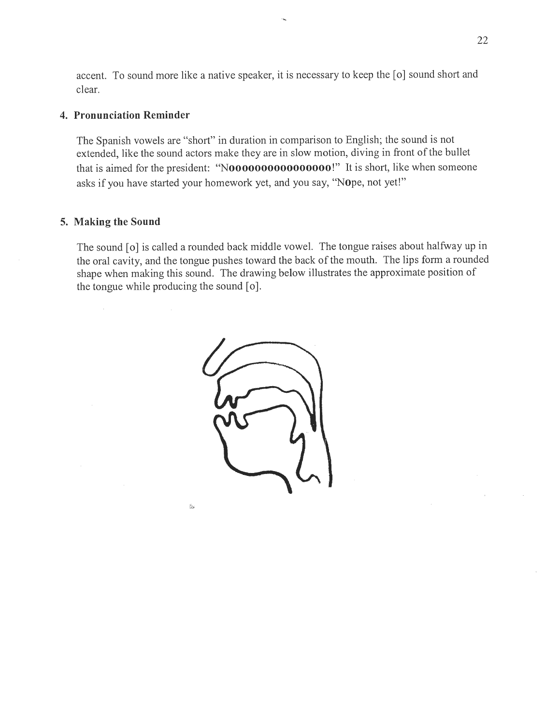accent. To sound more like a native speaker, it is necessary to keep the [o] sound short and clear.

### *4. Pronunciation Reminder*

The Spanish vowels are "short" in duration in comparison to English; the sound is not extended, like the sound actors make they are in slow motion, diving in front of the bullet that is aimed for the president: *"NOOOOOOOOOOOOOOOO!"* It is short, like when someone asks if you have started your homework yet, and you say, "Nope, not yet!"

#### *5. Making the Sound*

The sound [o] is called a rounded back middle vowel. The tongue raises about halfway up in the oral cavity, and the tongue pushes toward the back of the mouth. The lips form a rounded shape when making this sound. The drawing below illustrates the approximate position of the tongue while producing the sound [o].

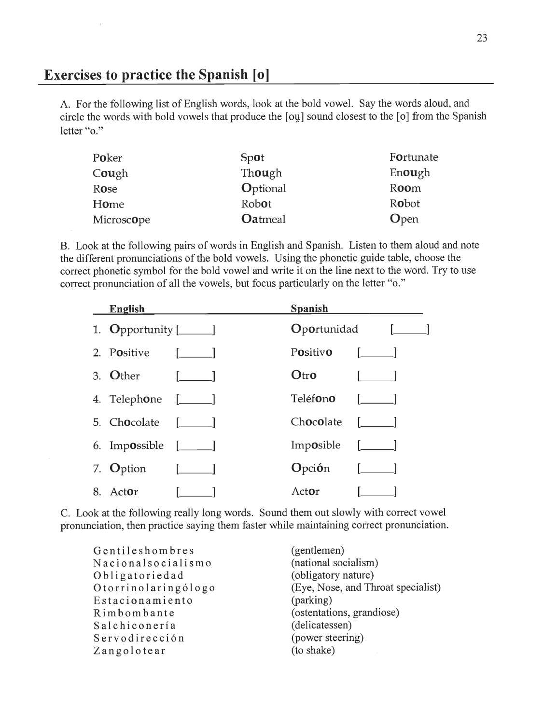### *Exercises to practice the Spanish [o]*

A. For the following list of English words, look at the bold vowel. Say the words aloud, and circle the words with bold vowels that produce the [ou] sound closest to the [o] from the Spanish letter "o."

| Poker               | Spot           | Fortunate |
|---------------------|----------------|-----------|
| C <b>ou</b> gh      | Though         | Enough    |
| Rose                | Optional       | Room      |
| Home                | Robot          | Robot     |
| Microsc <b>o</b> pe | <b>Oatmeal</b> | Open      |

B. Look at the following pairs of words in English and Spanish. Listen to them aloud and note the different pronunciations of the bold vowels. Using the phonetic guide table, choose the correct phonetic symbol for the bold vowel and write it on the line next to the word. Try to use correct pronunciation of all the vowels, but focus particularly on the letter "o."

| English                 |                           | <b>Spanish</b>                 |                                                |
|-------------------------|---------------------------|--------------------------------|------------------------------------------------|
| 1. Opportunity $[\_\_]$ |                           | <b>Oportunidad</b>             | and the state of the state                     |
| 2. Positive             | $\Box$                    | Positivo                       | $\Box$                                         |
| 3. Other                |                           | Otro                           |                                                |
| 4. Telephone $[\_\_]$   |                           | Teléfono                       |                                                |
| 5. Chocolate [ ]        |                           | $Chocola$ te $\lceil$ $\rceil$ |                                                |
| 6. Impossible $[\_\_\_$ |                           | Imposible                      | <u> - [_____]</u>                              |
| 7. Option               | <u> Maria Maria III (</u> | <b>O</b> pci <b>ó</b> n        | $\begin{bmatrix} 1 & 1 \\ 1 & 1 \end{bmatrix}$ |
| 8. Actor                |                           | Actor                          |                                                |

C. Look at the following really long words. Sound them out slowly with correct vowel pronunciation, then practice saying them faster while maintaining correct pronunciation.

Gentileshombres Nacionalsocialismo Obligatoriedad Otorrinolaringólogo Estacionamiento Rimbombante Salchiconeria Servodireccion Zangolotear

(gentlemen) (national socialism) (obligatory nature) (Eye, Nose, and Throat specialist) (parking) (ostentations, grandiose) (delicatessen) (power steering) (to shake)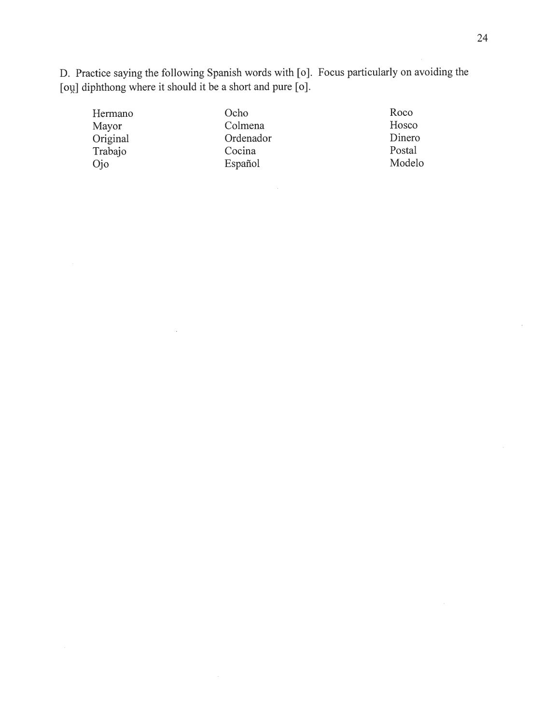D. Practice saying the following Spanish words with [o]. Focus particularly on avoiding the [ou] diphthong where it should it be a short and pure [o].

| Hermano  | Ocho      | Roco   |
|----------|-----------|--------|
| Mayor    | Colmena   | Hosco  |
| Original | Ordenador | Dinero |
| Trabajo  | Cocina    | Postal |
| Ojo      | Español   | Modelo |
|          |           |        |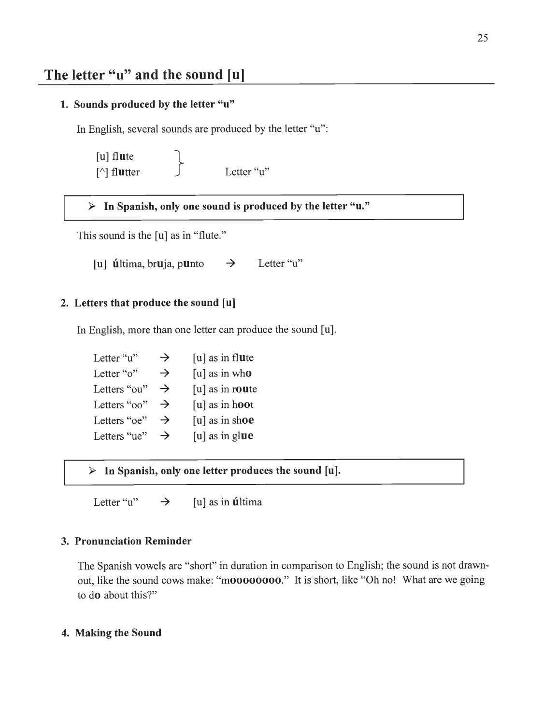# *The letter "u" and the sound [u]*

### 1. Sounds produced by the letter "u"

In English, several sounds are produced by the letter "u":

[u] flute **\**  $\lceil \wedge \rceil$  flutter  $\qquad \qquad \int$  Letter "u"

 $\triangleright$  In Spanish, only one sound is produced by the letter "u."

This sound is the [u] as in "flute."

[u] **ú**ltima, br**u**ja, p**u**nto  $\rightarrow$  Letter "u"

### 2. Letters that produce the sound [u]

In English, more than one letter can produce the sound [u].

Letter "u"  $\rightarrow$  [u] as in flute Letter "o"  $\rightarrow$  [u] as in who Letters "ou"  $\rightarrow$  [u] as in route Letters " $oo$ "  $\rightarrow$  [u] as in hoot Letters "oe"  $\rightarrow$  [u] as in shoe Letters "ue"  $\rightarrow$  [u] as in glue

 $\triangleright$  In Spanish, only one letter produces the sound [u].

Letter "u"  $\rightarrow$  [u] as in **ú**ltima

### 3. Pronunciation Reminder

The Spanish vowels are "short" in duration in comparison to English; the sound is not drawnout, like the sound cows make: "moooooooo." It is short, like "Oh no! What are we going to do about this?"

### 4. Making the Sound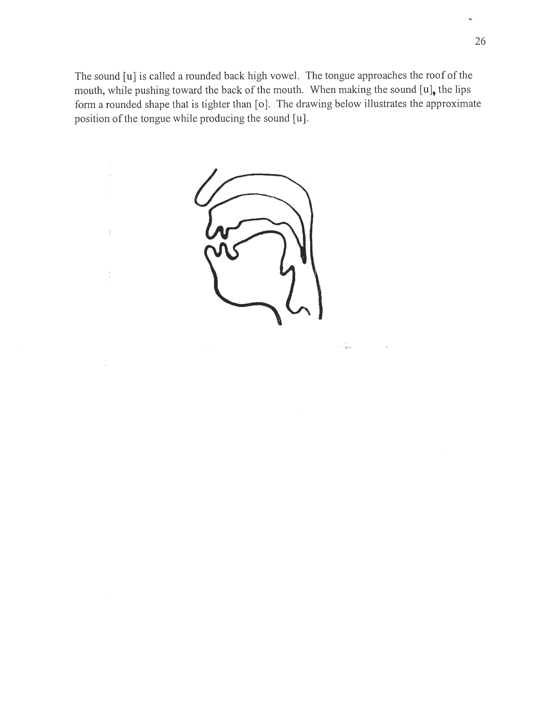The sound [u] is called a rounded back high vowel. The tongue approaches the roof of the mouth, while pushing toward the back of the mouth. When making the sound  $[u]$ , the lips form a rounded shape that is tighter than [o]. The drawing below illustrates the approximate position of the tongue while producing the sound [u].



 $\mathfrak l$ 

 $\frac{1}{3}$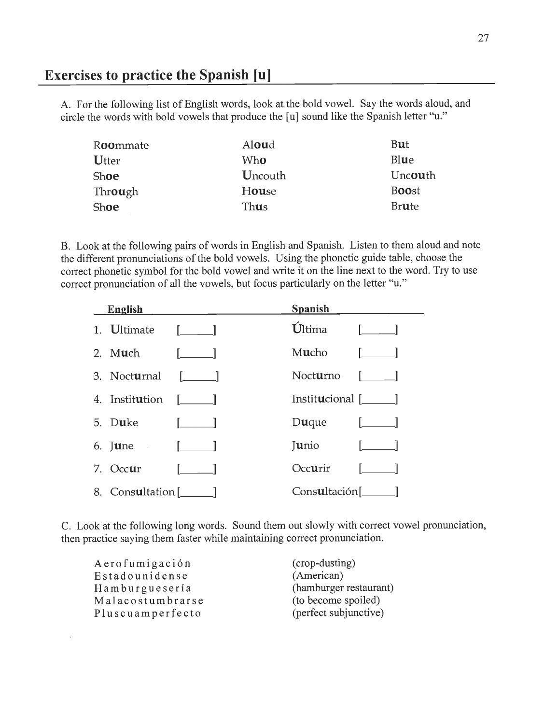### *Exercises to practice the Spanish [u]*

A. For the following list of English words, look at the bold vowel. Say the words aloud, and circle the words with bold vowels that produce the [u] sound like the Spanish letter "u."

| Aloud   | But          |
|---------|--------------|
| Who     | Blue         |
| Uncouth | Uncouth      |
| House   | <b>Boost</b> |
| Thus    | <b>Brute</b> |
|         |              |

B. Look at the following pairs of words in English and Spanish. Listen to them aloud and note the different pronunciations of the bold vowels. Using the phonetic guide table, choose the correct phonetic symbol for the bold vowel and write it on the line next to the word. Try to use correct pronunciation of all the vowels, but focus particularly on the letter "u."

| English                      |                                  | <b>Spanish</b>                                          |
|------------------------------|----------------------------------|---------------------------------------------------------|
| 1. Ultimate [ ]              |                                  | $\dot{U}$ ltima [ ]                                     |
| 2. M <b>u</b> ch             |                                  | M <b>u</b> cho                                          |
| 3. Nocturnal $[\_\_]$        |                                  | Nocturno $\boxed{\phantom{a} \phantom{a}}$              |
| 4. Instit <b>u</b> tion [11] |                                  | Institucional [ <i>____</i> ]                           |
| 5. Duke                      | $\left\lceil \cdot \right\rceil$ | <b>Du</b> que                                           |
| 6. <b>[une</b> $[- \_]$      |                                  | $\lceil \text{unio} \rceil$ $\lceil \text{unio} \rceil$ |
| 7. Occur                     |                                  | Occurir                                                 |
| 8. Consultation [1899]       |                                  | $Consultación$ [ $\qquad$                               |

C. Look at the following long words. Sound them out slowly with correct vowel pronunciation, then practice saying them faster while maintaining correct pronunciation.

| (crop-dusting)         |
|------------------------|
| (American)             |
| (hamburger restaurant) |
| (to become spoiled)    |
| (perfect subjunctive)  |
|                        |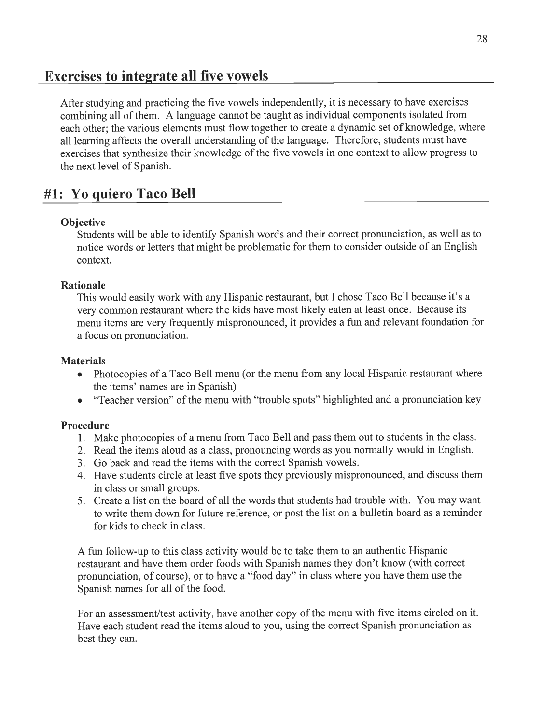### Exercises to integrate *all* five vowels

After studying and practicing the five vowels independently, it is necessary to have exercises combining all of them. A language cannot be taught as individual components isolated from each other; the various elements must flow together to create a dynamic set of knowledge, where all learning affects the overall understanding of the language. Therefore, students must have exercises that synthesize their knowledge of the five vowels in one context to allow progress to the next level of Spanish.

## #1: Yo quiero Taco *Bell*

### *Objective*

Students will be able to identify Spanish words and their correct pronunciation, as well as to notice words or letters that might be problematic for them to consider outside of an English context.

### *Rationale*

This would easily work with any Hispanic restaurant, but I chose Taco Bell because it's a very common restaurant where the kids have most likely eaten at least once. Because its menu items are very frequently mispronounced, it provides a fun and relevant foundation for a focus on pronunciation.

### *Materials*

- Photocopies of a Taco Bell menu (or the menu from any local Hispanic restaurant where the items' names are in Spanish)
- "Teacher version" of the menu with "trouble spots" highlighted and a pronunciation key

### *Procedure*

- 1. Make photocopies of a menu from Taco Bell and pass them out to students in the class.
- 2. Read the items aloud as a class, pronouncing words as you normally would in English.
- 3. Go back and read the items with the correct Spanish vowels.
- 4. Have students circle at least five spots they previously mispronounced, and discuss them in class or small groups.
- 5. Create a list on the board of all the words that students had trouble with. You may want to write them down for future reference, or post the list on a bulletin board as a reminder for kids to check in class.

A fun follow-up to this class activity would be to take them to an authentic Hispanic restaurant and have them order foods with Spanish names they don't know (with correct pronunciation, of course), or to have a "food day" in class where you have them use the Spanish names for all of the food.

For an assessment/test activity, have another copy of the menu with five items circled on it. Have each student read the items aloud to you, using the correct Spanish pronunciation as best they can.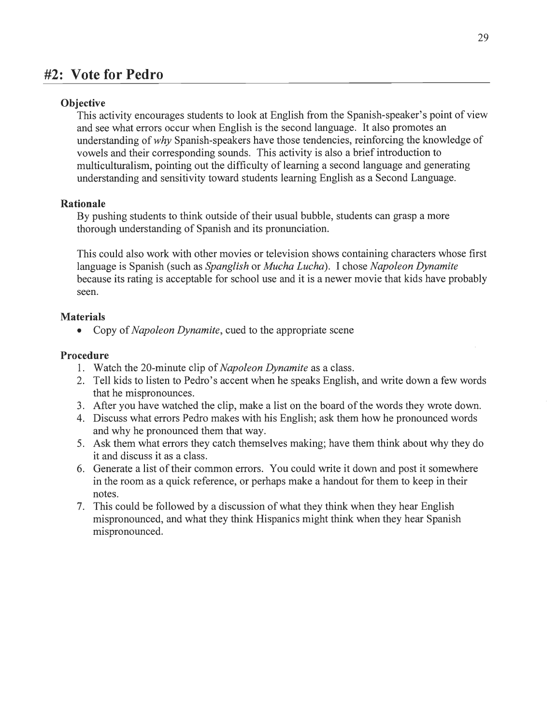### *#2: Vote for Pedro*

### *Objective*

This activity encourages students to look at English from the Spanish-speaker's point of view and see what errors occur when English is the second language. It also promotes an understanding of **why** Spanish-speakers have those tendencies, reinforcing the knowledge of vowels and their corresponding sounds. This activity is also a briefintroduction to multiculturalism, pointing out the difficulty of learning a second language and generating understanding and sensitivity toward students learning English as a Second Language.

### *Rationale*

By pushing students to think outside of their usual bubble, students can grasp a more thorough understanding of Spanish and its pronunciation.

This could also work with other movies or television shows containing characters whose first language is Spanish (such as **Spanglish** or **Mucha Lucha).** I chose **Napoleon Dynamite** because its rating is acceptable for school use and it is a newer movie that kids have probably seen.

### *Materials*

• Copy of *Napoleon Dynamite*, cued to the appropriate scene

#### *Procedure*

- 1. Watch the 20-minute clip of **Napoleon Dynamite** as a class.
- 2. Tell kids to listen to Pedro's accent when he speaks English, and write down a few words that he mispronounces.
- 3. After you have watched the clip, make a list on the board of the words they wrote down.
- 4. Discuss what errors Pedro makes with his English; ask them how he pronounced words and why he pronounced them that way.
- 5. Ask them what errors they catch themselves making; have them think about why they do it and discuss it as a class.
- 6. Generate a list of their common errors. You could write it down and post it somewhere in the room as a quick reference, or perhaps make a handout for them to keep in their notes.
- 7. This could be followed by a discussion ofwhat they think when they hear English mispronounced, and what they think Hispanics might think when they hear Spanish mispronounced.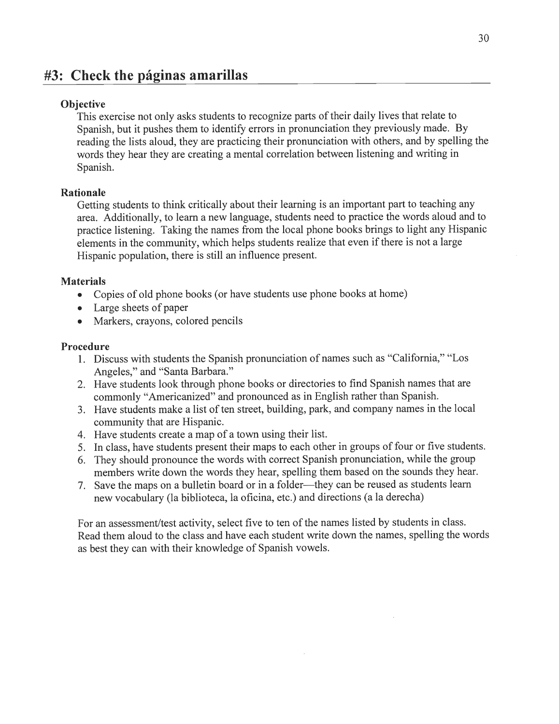## *#3: Check the paginas amarillas*

### *Objective*

This exercise not only asks students to recognize parts of their daily lives that relate to Spanish, but it pushes them to identify errors in pronunciation they previously made. By reading the lists aloud, they are practicing their pronunciation with others, and by spelling the words they hear they are creating a mental correlation between listening and writing in Spanish.

### *Rationale*

Getting students to think critically about their learning is an important part to teaching any area. Additionally, to learn a new language, students need to practice the words aloud and to practice listening. Taking the names from the local phone books brings to light any Hispanic elements in the community, which helps students realize that even if there is not a large Hispanic population, there is still an influence present.

### *Materials*

- Copies of old phone books (or have students use phone books at home)
- Large sheets of paper
- Markers, crayons, colored pencils

#### *Procedure*

- 1. Discuss with students the Spanish pronunciation of names such as "California," "Los Angeles," and "Santa Barbara."
- 2. Have students look through phone books or directories to find Spanish names that are commonly "Americanized" and pronounced as in English rather than Spanish.
- 3. Have students make a list of ten street, building, park, and company names in the local community that are Hispanic.
- 4. Have students create a map of a town using their list.
- 5. In class, have students present their maps to each other in groups of four or five students.
- 6. They should pronounce the words with correct Spanish pronunciation, while the group members write down the words they hear, spelling them based on the sounds they hear.
- 7. Save the maps on a bulletin board or in a folder—they can be reused as students learn new vocabulary (la biblioteca, la oficina, etc.) and directions (a la derecha)

For an assessment/test activity, select five to ten of the names listed by students in class. Read them aloud to the class and have each student write down the names, spelling the words as best they can with their knowledge of Spanish vowels.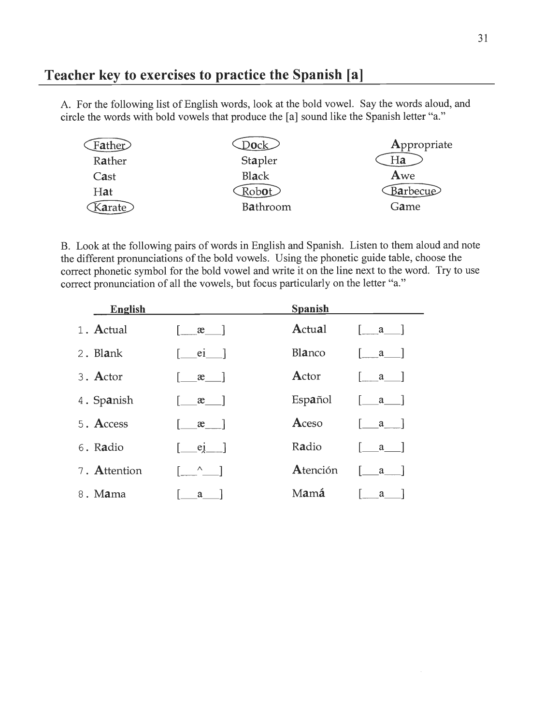# *Teacher key to exercises to practice the Spanish [a]*

A. For the following list of English words, look at the bold vowel. Say the words aloud, and circle the words with bold vowels that produce the [a] sound like the Spanish letter "a."

| D <b>o</b> ck . | Appropriate |
|-----------------|-------------|
| Stapler         | Ha          |
| Black           | Awe         |
| Robot           | Barbecue    |
| Bathroom        | Game        |
|                 |             |

B. Look at the following pairs of words in English and Spanish. Listen to them aloud and note the different pronunciations of the bold vowels. Using the phonetic guide table, choose the correct phonetic symbol for the bold vowel and write it on the line next to the word. Try to use correct pronunciation of all the vowels, but focus particularly on the letter "a."

| <b>English</b> |                                                | <b>Spanish</b> |                                     |  |
|----------------|------------------------------------------------|----------------|-------------------------------------|--|
| 1. Actual      | $\alpha$                                       | Actual         |                                     |  |
| 2. Blank       | ei 1                                           | Blanco         | a                                   |  |
| 3. Actor       | $\mathfrak{E}$                                 | Actor          | $\mathbf{a}$                        |  |
| 4. Spanish     | $x \quad$                                      | Español        | $\begin{bmatrix} a & \end{bmatrix}$ |  |
| 5. Access      | $x \quad \Box$                                 | Aceso          | $\mathbf{a}$                        |  |
| 6. Radio       | [e]                                            | Radio          |                                     |  |
| 7. Attention   | $\begin{bmatrix} 0 & 1 \\ 0 & 1 \end{bmatrix}$ | Atención       | a                                   |  |
| 8. Mama        | a                                              | Mamá           | a                                   |  |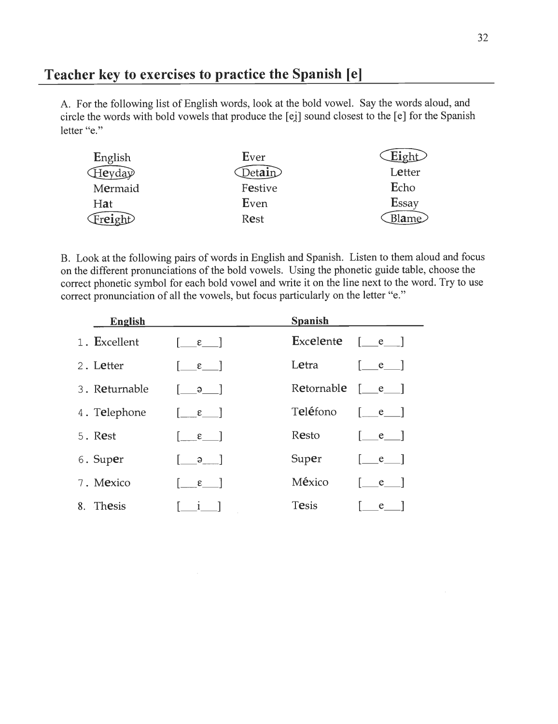# *Teacher key to exercises to practice the Spanish [e]*

A. For the following list of English words, look at the bold vowel. Say the words aloud, and circle the words with bold vowels that produce the [ei] sound closest to the [e] for the Spanish letter "e."

| English           | Ever             | $Figh+$      |
|-------------------|------------------|--------------|
| $\bigoplus$ eyday | Det <b>ai</b> n) | Letter       |
| Mermaid           | Festive          | Echo         |
| Hat               | Even             | <b>Essay</b> |
| Freight           | Rest             | Blame        |

B. Look at the following pairs of words in English and Spanish. Listen to them aloud and focus on the different pronunciations of the bold vowels. Using the phonetic guide table, choose the correct phonetic symbol for each bold vowel and write it on the line next to the word. Try to use correct pronunciation of all the vowels, but focus particularly on the letter "e."

| <b>English</b> |                                              | <b>Spanish</b> |                                       |
|----------------|----------------------------------------------|----------------|---------------------------------------|
| 1. Excellent   | $\lceil \epsilon \rceil$                     | Excelente      | $\begin{bmatrix} e \\ \end{bmatrix}$  |
| 2. Letter      | $\varepsilon$                                | Letra          | $\lceil$ e $\lceil$                   |
| 3. Returnable  | $\Theta$                                     | Retornable     | $\begin{bmatrix}e\end{bmatrix}$       |
| 4. Telephone   | $\begin{bmatrix} 1 & \epsilon \end{bmatrix}$ | Teléfono       | $\begin{bmatrix} 1 & e \end{bmatrix}$ |
| 5. Rest        | $\epsilon$                                   | Resto          | $e \quad  $                           |
| 6. Super       | $\Theta$                                     | Super          | e                                     |
| 7. Mexico      | $\epsilon$                                   | México         |                                       |
| 8. Thesis      | $\mathbf{1}$                                 | <b>Tesis</b>   | e                                     |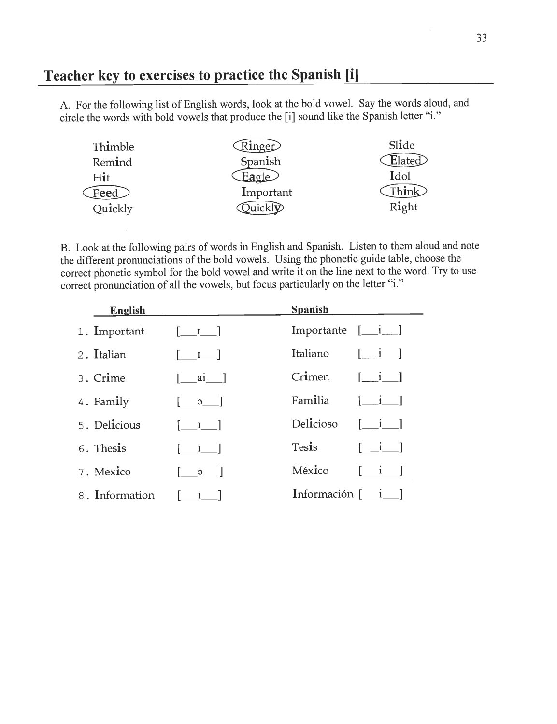## *Teacher key to exercises to practice the Spanish [i]*

A. For the following list of English words, look at the bold vowel. Say the words aloud, and circle the words with bold vowels that produce the [i] sound like the Spanish letter "i."

| Thimble   | Ringer                   | Slide            |
|-----------|--------------------------|------------------|
| Remind    | Spanish                  | $\text{Elated}$  |
| Hit       | $E$ agle                 | Idol             |
| Feed $\,$ | Important                | $\mathbf{h}$ ink |
| Quickly   | $b$ uickl $\overline{v}$ | Right            |

B. Look at the following pairs of words in English and Spanish. Listen to them aloud and note the different pronunciations of the bold vowels. Using the phonetic guide table, choose the correct phonetic symbol for the bold vowel and write it on the line next to the word. Try to use correct pronunciation of all the vowels, but focus particularly on the letter "i."

| <b>English</b> |                                       | <b>Spanish</b>                                       |                                       |
|----------------|---------------------------------------|------------------------------------------------------|---------------------------------------|
| 1. Important   | $[\underline{\qquad I}$               | Importante $[\underline{\quad i} \underline{\quad}]$ |                                       |
| 2. Italian     | $\begin{bmatrix} 1 & 1 \end{bmatrix}$ | Italiano                                             | $\lceil i \rceil$                     |
| 3. Crime       | [ ai ]                                | Crimen                                               | $\begin{bmatrix} 1 & 1 \end{bmatrix}$ |
| 4. Family      | $\begin{bmatrix} 9 \end{bmatrix}$     | Familia                                              | $\begin{bmatrix} 1 & 1 \end{bmatrix}$ |
| 5. Delicious   | $\begin{bmatrix} 1 & 1 \end{bmatrix}$ | Delicioso                                            | $\begin{bmatrix} 1 & 1 \end{bmatrix}$ |
| 6. Thesis      | $\begin{bmatrix} 1 & 1 \end{bmatrix}$ | Tesis                                                | $1 - i - 1$                           |
| 7. Mexico      | $\Theta$                              | México                                               | $\lceil i \rceil$                     |
| 8. Information | $\mathbf{I}$                          | Información $\begin{bmatrix} 1 \\ 1 \end{bmatrix}$   |                                       |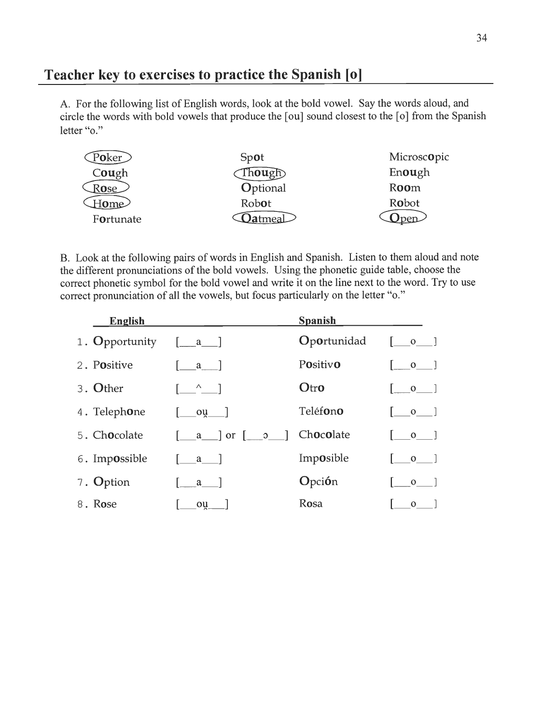### *Teacher key to exercises to practice the Spanish [o]*

A. For the following list of English words, look at the bold vowel. Say the words aloud, and circle the words with bold vowels that produce the [ou] sound closest to the [o] from the Spanish letter "o."

| Poker                   | Spot          | Microscopic |
|-------------------------|---------------|-------------|
| C <b>ou</b> gh          | Though $\sum$ | Enough      |
| Rose                    | Optional      | Room        |
| [ $\mathsf{ome}\rangle$ | Robot         | Robot       |
| Fortunate               | Jatmeal       |             |

B. Look at the following pairs of words in English and Spanish. Listen to them aloud and note the different pronunciations of the bold vowels. Using the phonetic guide table, choose the correct phonetic symbol for the bold vowel and write it on the line next to the word. Try to use correct pronunciation of all the vowels, but focus particularly on the letter "o."

| <b>English</b> |                                                                                                                                                                                                                                                                                                                                 | <b>Spanish</b> |                                                |
|----------------|---------------------------------------------------------------------------------------------------------------------------------------------------------------------------------------------------------------------------------------------------------------------------------------------------------------------------------|----------------|------------------------------------------------|
| 1. Opportunity | $\begin{bmatrix} a \\ c \end{bmatrix}$                                                                                                                                                                                                                                                                                          | Oportunidad    | $\begin{bmatrix} 0 & 1 \\ 0 & 1 \end{bmatrix}$ |
| 2. Positive    | a l                                                                                                                                                                                                                                                                                                                             | Positivo       | $0 \quad \vert$                                |
| 3. Other       | $\begin{bmatrix} 0 & \lambda & \lambda \\ 0 & 0 & \lambda \end{bmatrix}$                                                                                                                                                                                                                                                        | Otro           | $\mathbf{O}$                                   |
| 4. Telephone   | $\begin{bmatrix} 0 & 0 & 0 \\ 0 & 0 & 0 \\ 0 & 0 & 0 \\ 0 & 0 & 0 \\ 0 & 0 & 0 \\ 0 & 0 & 0 \\ 0 & 0 & 0 \\ 0 & 0 & 0 \\ 0 & 0 & 0 & 0 \\ 0 & 0 & 0 & 0 \\ 0 & 0 & 0 & 0 \\ 0 & 0 & 0 & 0 \\ 0 & 0 & 0 & 0 & 0 \\ 0 & 0 & 0 & 0 & 0 \\ 0 & 0 & 0 & 0 & 0 \\ 0 & 0 & 0 & 0 & 0 & 0 \\ 0 & 0 & 0 & 0 & 0 & 0 \\ 0 & 0 & 0 & 0 & $ | Teléfono       | $\begin{bmatrix} 0 & 1 \end{bmatrix}$          |
| 5. Chocolate   | $\begin{bmatrix} a & \text{or} & \text{o} \end{bmatrix}$                                                                                                                                                                                                                                                                        | Chocolate      | $\overline{\mathsf{O}}$ 1                      |
| 6. Impossible  | $ $ a $ $                                                                                                                                                                                                                                                                                                                       | Imposible      | $\circ$ 1                                      |
| 7. Option      | a a                                                                                                                                                                                                                                                                                                                             | Opción         | $\mathbf{O}$                                   |
| 8. Rose        | ou                                                                                                                                                                                                                                                                                                                              | Rosa           | $\mathbf{O}$                                   |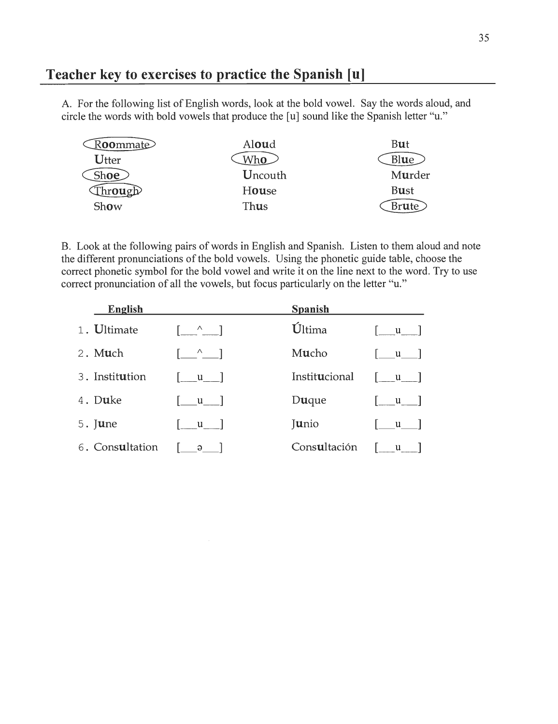### *Teacher key to exercises to practice the Spanish [u]*

A. For the following list of English words, look at the bold vowel. Say the words aloud, and circle the words with bold vowels that produce the [u] sound like the Spanish letter "u."

| $\mathbb{R}$ <b>oo</b> mmat $\odot$ | Aloud       | But            |
|-------------------------------------|-------------|----------------|
| Utter                               | Who         | Blue           |
| Sh <b>oe</b>                        | Uncouth     | Murder         |
| $\text{trough}$                     | House       | <b>Bust</b>    |
| Show                                | <b>Thus</b> | Br <b>u</b> te |

B. Look at the following pairs of words in English and Spanish. Listen to them aloud and note the different pronunciations of the bold vowels. Using the phonetic guide table, choose the correct phonetic symbol for the bold vowel and write it on the line next to the word. Try to use correct pronunciation of all the vowels, but focus particularly on the letter "u."

| English          |                                                | <b>Spanish</b> |                                        |
|------------------|------------------------------------------------|----------------|----------------------------------------|
| 1. Ultimate      | $\begin{bmatrix} 0 & 1 \\ 0 & 1 \end{bmatrix}$ | Última         | $\begin{bmatrix} u \\ v \end{bmatrix}$ |
| 2. M <b>u</b> ch | $\begin{bmatrix} 1 & 1 \\ 1 & 1 \end{bmatrix}$ | Mucho          | $\mathbf{u}$                           |
| 3. Institution   | $\lceil$ u $\lceil$                            | Institucional  | $\lceil u \rfloor$                     |
| 4. Duke          | $\begin{bmatrix} 1 & 1 \\ 1 & 1 \end{bmatrix}$ | Duque          | $\lceil$ u $\rceil$                    |
| $5.$ June        | $\begin{bmatrix} u \\ v \end{bmatrix}$         | Junio          | $\vert$ u $\vert$                      |
| 6. Consultation  | $\begin{bmatrix} 9 \end{bmatrix}$              | Consultación   | $\begin{bmatrix} u \\ v \end{bmatrix}$ |